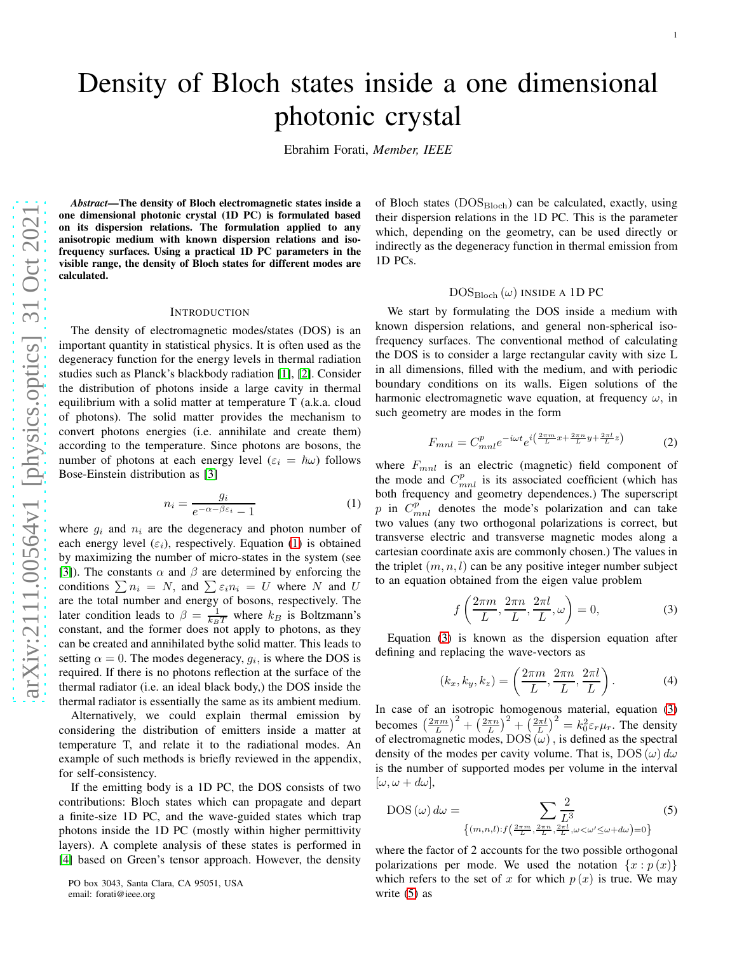Ebrahim Forati, *Member, IEEE*

*Abstract*—The density of Bloch electromagnetic states inside a one dimensional photonic crystal (1D PC) is formulated based on its dispersion relations. The formulation applied to any anisotropic medium with known dispersion relations and isofrequency surfaces. Using a practical 1D PC parameters in the visible range, the density of Bloch states for different modes are calculated.

#### INTRODUCTION

The density of electromagnetic modes/states (DOS) is an important quantity in statistical physics. It is often used as the degeneracy function for the energy levels in thermal radiation studies such as Planck's blackbody radiation [\[1\]](#page-3-0), [\[2\]](#page-3-1). Consider the distribution of photons inside a large cavity in thermal equilibrium with a solid matter at temperature T (a.k.a. cloud of photons). The solid matter provides the mechanism to convert photons energies (i.e. annihilate and create them) according to the temperature. Since photons are bosons, the number of photons at each energy level  $(\varepsilon_i = \hbar \omega)$  follows Bose-Einstein distribution as [\[3\]](#page-3-2)

<span id="page-0-0"></span>
$$
n_i = \frac{g_i}{e^{-\alpha - \beta \varepsilon_i} - 1} \tag{1}
$$

where  $g_i$  and  $n_i$  are the degeneracy and photon number of each energy level  $(\varepsilon_i)$ , respectively. Equation [\(1\)](#page-0-0) is obtained by maximizing the number of micro-states in the system (see [\[3\]](#page-3-2)). The constants  $\alpha$  and  $\beta$  are determined by enforcing the conditions  $\sum n_i = N$ , and  $\sum \varepsilon_i n_i = U$  where N and U are the total number and energy of bosons, respectively. The later condition leads to  $\beta = \frac{1}{k_B T}$  where  $k_B$  is Boltzmann's constant, and the former does not apply to photons, as they can be created and annihilated bythe solid matter. This leads to setting  $\alpha = 0$ . The modes degeneracy,  $g_i$ , is where the DOS is required. If there is no photons reflection at the surface of the thermal radiator (i.e. an ideal black body,) the DOS inside the thermal radiator is essentially the same as its ambient medium.

Alternatively, we could explain thermal emission by considering the distribution of emitters inside a matter at temperature T, and relate it to the radiational modes. An example of such methods is briefly reviewed in the appendix, for self-consistency.

If the emitting body is a 1D PC, the DOS consists of two contributions: Bloch states which can propagate and depart a finite-size 1D PC, and the wave-guided states which trap photons inside the 1D PC (mostly within higher permittivity layers). A complete analysis of these states is performed in [\[4\]](#page-3-3) based on Green's tensor approach. However, the density of Bloch states  $(DOS_{Bloch})$  can be calculated, exactly, using their dispersion relations in the 1D PC. This is the parameter which, depending on the geometry, can be used directly or indirectly as the degeneracy function in thermal emission from 1D PCs.

# $DOS_{Bloch}(\omega)$  INSIDE A 1D PC

We start by formulating the DOS inside a medium with known dispersion relations, and general non-spherical isofrequency surfaces. The conventional method of calculating the DOS is to consider a large rectangular cavity with size L in all dimensions, filled with the medium, and with periodic boundary conditions on its walls. Eigen solutions of the harmonic electromagnetic wave equation, at frequency  $\omega$ , in such geometry are modes in the form

$$
F_{mnl} = C_{mnl}^p e^{-i\omega t} e^{i\left(\frac{2\pi m}{L}x + \frac{2\pi n}{L}y + \frac{2\pi l}{L}z\right)} \tag{2}
$$

where  $F_{mnl}$  is an electric (magnetic) field component of the mode and  $C_{mnl}^p$  is its associated coefficient (which has both frequency and geometry dependences.) The superscript p in  $C_{mnl}^{p}$  denotes the mode's polarization and can take two values (any two orthogonal polarizations is correct, but transverse electric and transverse magnetic modes along a cartesian coordinate axis are commonly chosen.) The values in the triplet  $(m, n, l)$  can be any positive integer number subject to an equation obtained from the eigen value problem

<span id="page-0-1"></span>
$$
f\left(\frac{2\pi m}{L}, \frac{2\pi n}{L}, \frac{2\pi l}{L}, \omega\right) = 0,\tag{3}
$$

Equation [\(3\)](#page-0-1) is known as the dispersion equation after defining and replacing the wave-vectors as

<span id="page-0-3"></span>
$$
(k_x, k_y, k_z) = \left(\frac{2\pi m}{L}, \frac{2\pi n}{L}, \frac{2\pi l}{L}\right). \tag{4}
$$

In case of an isotropic homogenous material, equation [\(3\)](#page-0-1) becomes  $\left(\frac{2\pi m}{L}\right)^2 + \left(\frac{2\pi n}{L}\right)^2 + \left(\frac{2\pi l}{L}\right)^2 = k_0^2 \varepsilon_r \mu_r$ . The density of electromagnetic modes,  $DOS(\omega)$ , is defined as the spectral density of the modes per cavity volume. That is,  $DOS(\omega) d\omega$ is the number of supported modes per volume in the interval  $[\omega, \omega + d\omega],$ 

<span id="page-0-2"></span>DOS 
$$
(\omega) d\omega = \sum_{\{(m,n,l):f\left(\frac{2\pi m}{L}, \frac{2\pi n}{L}, \frac{2\pi l}{L}, \omega < \omega' \leq \omega + d\omega\right) = 0\}}
$$
 (5)

where the factor of 2 accounts for the two possible orthogonal polarizations per mode. We used the notation  $\{x : p(x)\}\$ which refers to the set of x for which  $p(x)$  is true. We may write [\(5\)](#page-0-2) as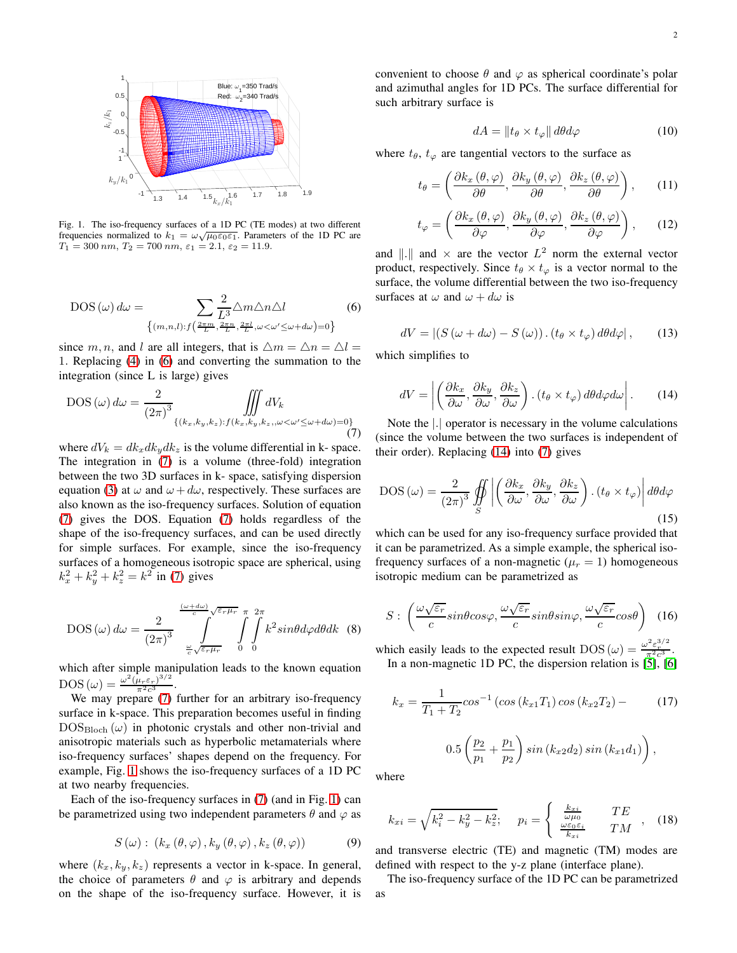

<span id="page-1-2"></span>Fig. 1. The iso-frequency surfaces of a 1D PC (TE modes) at two different frequencies normalized to  $k_1 = \omega \sqrt{\mu_0 \varepsilon_0 \varepsilon_1}$ . Parameters of the 1D PC are  $T_1 = 300 \; nm, \, T_2 = 700 \; nm, \, \varepsilon_1 = 2.1, \, \varepsilon_2 = 11.9.$ 

<span id="page-1-0"></span>DOS (ω) 
$$
d\omega = \sum_{\{(m,n,l):f\left(\frac{2\pi m}{L}, \frac{2\pi n}{L}, \frac{2\pi l}{L}, \omega < \omega' \le \omega + d\omega\right) = 0\}}
$$
 (6)

since m, n, and l are all integers, that is  $\Delta m = \Delta n = \Delta l =$ 1. Replacing [\(4\)](#page-0-3) in [\(6\)](#page-1-0) and converting the summation to the integration (since L is large) gives

<span id="page-1-1"></span>DOS (ω) 
$$
d\omega = \frac{2}{(2\pi)^3} \iiint \limits_{\{(k_x, k_y, k_z): f(k_x, k_y, k_z, \omega < \omega' \le \omega + d\omega) = 0\}} \iint (k_x, k_y, k_z, \omega < \omega' \le \omega + d\omega
$$

where  $dV_k = dk_x dk_y dk_z$  is the volume differential in k-space. The integration in [\(7\)](#page-1-1) is a volume (three-fold) integration between the two 3D surfaces in k- space, satisfying dispersion equation [\(3\)](#page-0-1) at  $\omega$  and  $\omega + d\omega$ , respectively. These surfaces are also known as the iso-frequency surfaces. Solution of equation [\(7\)](#page-1-1) gives the DOS. Equation [\(7\)](#page-1-1) holds regardless of the shape of the iso-frequency surfaces, and can be used directly for simple surfaces. For example, since the iso-frequency surfaces of a homogeneous isotropic space are spherical, using  $k_x^2 + k_y^2 + k_z^2 = k^2$  in [\(7\)](#page-1-1) gives

$$
\text{DOS}(\omega) d\omega = \frac{2}{(2\pi)^3} \int\limits_{\frac{\omega}{c} \sqrt{\varepsilon_r \mu_r}}^{\frac{(\omega + d\omega)}{c} \sqrt{\varepsilon_r \mu_r}} \int\limits_{0}^{\pi} \int\limits_{0}^{2\pi} k^2 sin\theta d\varphi d\theta dk \quad (8)
$$

which after simple manipulation leads to the known equation  $\mathrm{DOS}\left(\omega\right)=\frac{\omega^2\left(\mu_r\varepsilon_r\right)^{3/2}}{\pi^2c^3}$  $rac{u_r \varepsilon_r}{\pi^2 c^3}$ .

We may prepare [\(7\)](#page-1-1) further for an arbitrary iso-frequency surface in k-space. This preparation becomes useful in finding  $DOS<sub>Bloch</sub>(\omega)$  in photonic crystals and other non-trivial and anisotropic materials such as hyperbolic metamaterials where iso-frequency surfaces' shapes depend on the frequency. For example, Fig. [1](#page-1-2) shows the iso-frequency surfaces of a 1D PC at two nearby frequencies.

Each of the iso-frequency surfaces in [\(7\)](#page-1-1) (and in Fig. [1\)](#page-1-2) can be parametrized using two independent parameters  $\theta$  and  $\varphi$  as

$$
S(\omega): (k_x(\theta,\varphi), k_y(\theta,\varphi), k_z(\theta,\varphi))
$$
 (9)

where  $(k_x, k_y, k_z)$  represents a vector in k-space. In general, the choice of parameters  $\theta$  and  $\varphi$  is arbitrary and depends on the shape of the iso-frequency surface. However, it is convenient to choose  $\theta$  and  $\varphi$  as spherical coordinate's polar and azimuthal angles for 1D PCs. The surface differential for such arbitrary surface is

$$
dA = \|t_{\theta} \times t_{\varphi}\| \, d\theta d\varphi \tag{10}
$$

where  $t_{\theta}$ ,  $t_{\varphi}$  are tangential vectors to the surface as

$$
t_{\theta} = \left(\frac{\partial k_x\left(\theta, \varphi\right)}{\partial \theta}, \frac{\partial k_y\left(\theta, \varphi\right)}{\partial \theta}, \frac{\partial k_z\left(\theta, \varphi\right)}{\partial \theta}\right), \quad (11)
$$

$$
t_{\varphi} = \left(\frac{\partial k_x\left(\theta, \varphi\right)}{\partial \varphi}, \frac{\partial k_y\left(\theta, \varphi\right)}{\partial \varphi}, \frac{\partial k_z\left(\theta, \varphi\right)}{\partial \varphi}\right),\qquad(12)
$$

and  $\|\cdot\|$  and  $\times$  are the vector  $L^2$  norm the external vector product, respectively. Since  $t_{\theta} \times t_{\varphi}$  is a vector normal to the surface, the volume differential between the two iso-frequency surfaces at  $\omega$  and  $\omega + d\omega$  is

$$
dV = |(S(\omega + d\omega) - S(\omega)) \cdot (t_{\theta} \times t_{\varphi}) d\theta d\varphi|, \qquad (13)
$$

which simplifies to

<span id="page-1-3"></span>
$$
dV = \left| \left( \frac{\partial k_x}{\partial \omega}, \frac{\partial k_y}{\partial \omega}, \frac{\partial k_z}{\partial \omega} \right) . (t_\theta \times t_\varphi) d\theta d\varphi d\omega \right|.
$$
 (14)

Note the |.| operator is necessary in the volume calculations (since the volume between the two surfaces is independent of their order). Replacing [\(14\)](#page-1-3) into [\(7\)](#page-1-1) gives

<span id="page-1-4"></span>
$$
DOS\left(\omega\right) = \frac{2}{\left(2\pi\right)^3} \oiint_{S} \left| \left(\frac{\partial k_x}{\partial \omega}, \frac{\partial k_y}{\partial \omega}, \frac{\partial k_z}{\partial \omega}\right) \cdot \left(t_\theta \times t_\varphi\right) \right| d\theta d\varphi \tag{15}
$$

which can be used for any iso-frequency surface provided that it can be parametrized. As a simple example, the spherical isofrequency surfaces of a non-magnetic  $(\mu_r = 1)$  homogeneous isotropic medium can be parametrized as

$$
S: \left(\frac{\omega\sqrt{\varepsilon_r}}{c}sin\theta cos\varphi, \frac{\omega\sqrt{\varepsilon_r}}{c}sin\theta sin\varphi, \frac{\omega\sqrt{\varepsilon_r}}{c}cos\theta\right) \tag{16}
$$

which easily leads to the expected result DOS ( $\omega$ ) =  $\frac{\omega^2 \epsilon_1^{3/2}}{\pi^2 c^3}$ . In a non-magnetic 1D PC, the dispersion relation is [\[5\]](#page-3-4), [\[6\]](#page-3-5)

<span id="page-1-5"></span>
$$
k_x = \frac{1}{T_1 + T_2} \cos^{-1} \left( \cos \left( k_{x1} T_1 \right) \cos \left( k_{x2} T_2 \right) - \right)
$$
  
0.5  $\left( \frac{p_2}{p_1} + \frac{p_1}{p_2} \right) \sin \left( k_{x2} d_2 \right) \sin \left( k_{x1} d_1 \right) \right),$  (17)

where

$$
k_{xi} = \sqrt{k_i^2 - k_y^2 - k_z^2}; \quad p_i = \begin{cases} \frac{k_{xi}}{\omega \mu_0} & TE\\ \frac{\omega \varepsilon_0 \varepsilon_i}{k_{xi}} & TM \end{cases}
$$
 (18)

and transverse electric (TE) and magnetic (TM) modes are defined with respect to the y-z plane (interface plane).

The iso-frequency surface of the 1D PC can be parametrized as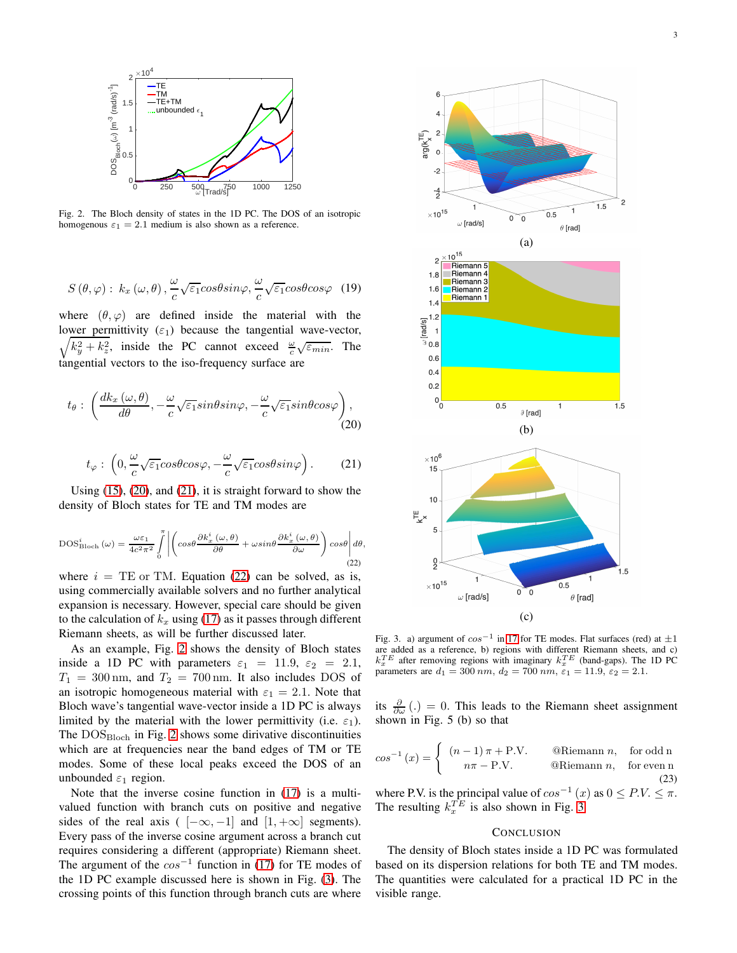

<span id="page-2-3"></span>Fig. 2. The Bloch density of states in the 1D PC. The DOS of an isotropic homogenous  $\varepsilon_1 = 2.1$  medium is also shown as a reference.

$$
S(\theta, \varphi): k_x(\omega, \theta), \frac{\omega}{c} \sqrt{\varepsilon_1} \cos \theta \sin \varphi, \frac{\omega}{c} \sqrt{\varepsilon_1} \cos \theta \cos \varphi \quad (19)
$$

where  $(\theta, \varphi)$  are defined inside the material with the lower permittivity  $(\varepsilon_1)$  because the tangential wave-vector,  $\sqrt{k_y^2 + k_z^2}$ , inside the PC cannot exceed  $\frac{\omega}{c} \sqrt{\varepsilon_{min}}$ . The tangential vectors to the iso-frequency surface are

<span id="page-2-0"></span>
$$
t_{\theta} : \left( \frac{dk_x \left( \omega, \theta \right)}{d\theta}, -\frac{\omega}{c} \sqrt{\varepsilon_1} sin\theta sin\varphi, -\frac{\omega}{c} \sqrt{\varepsilon_1} sin\theta cos\varphi \right), \tag{20}
$$

<span id="page-2-1"></span>
$$
t_{\varphi} : \left(0, \frac{\omega}{c} \sqrt{\varepsilon_1} \cos \theta \cos \varphi, -\frac{\omega}{c} \sqrt{\varepsilon_1} \cos \theta \sin \varphi\right). \tag{21}
$$

Using [\(15\)](#page-1-4), [\(20\)](#page-2-0), and [\(21\)](#page-2-1), it is straight forward to show the density of Bloch states for TE and TM modes are

<span id="page-2-2"></span>
$$
\text{DOS}_{\text{Bloch}}^{i}(\omega) = \frac{\omega \varepsilon_{1}}{4c^{2}\pi^{2}} \int_{0}^{\pi} \left| \left( \cos\theta \frac{\partial k_{x}^{i}(\omega,\theta)}{\partial \theta} + \omega \sin\theta \frac{\partial k_{x}^{i}(\omega,\theta)}{\partial \omega} \right) \cos\theta \right| d\theta, \tag{22}
$$

where  $i = TE$  or TM. Equation [\(22\)](#page-2-2) can be solved, as is, using commercially available solvers and no further analytical expansion is necessary. However, special care should be given to the calculation of  $k_x$  using [\(17\)](#page-1-5) as it passes through different Riemann sheets, as will be further discussed later.

As an example, Fig. [2](#page-2-3) shows the density of Bloch states inside a 1D PC with parameters  $\varepsilon_1 = 11.9, \varepsilon_2 = 2.1,$  $T_1 = 300 \text{ nm}$ , and  $T_2 = 700 \text{ nm}$ . It also includes DOS of an isotropic homogeneous material with  $\varepsilon_1 = 2.1$ . Note that Bloch wave's tangential wave-vector inside a 1D PC is always limited by the material with the lower permittivity (i.e.  $\varepsilon_1$ ). The  $\rm DOS_{Bloch}$  in Fig. [2](#page-2-3) shows some dirivative discontinuities which are at frequencies near the band edges of TM or TE modes. Some of these local peaks exceed the DOS of an unbounded  $\varepsilon_1$  region.

Note that the inverse cosine function in [\(17\)](#page-1-5) is a multivalued function with branch cuts on positive and negative sides of the real axis (  $[-\infty, -1]$  and  $[1, +\infty]$  segments). Every pass of the inverse cosine argument across a branch cut requires considering a different (appropriate) Riemann sheet. The argument of the  $cos^{-1}$  function in [\(17\)](#page-1-5) for TE modes of the 1D PC example discussed here is shown in Fig. [\(3\)](#page-2-4). The crossing points of this function through branch cuts are where



<span id="page-2-4"></span>Fig. 3. a) argument of  $cos^{-1}$  in [17](#page-1-5) for TE modes. Flat surfaces (red) at  $\pm 1$ are added as a reference, b) regions with different Riemann sheets, and c)  $k_x^T E$  after removing regions with imaginary  $k_x^T E$  (band-gaps). The 1D PC parameters are  $d_1 = 300 \, nm$ ,  $d_2 = 700 \, nm$ ,  $\varepsilon_1 = 11.9$ ,  $\varepsilon_2 = 2.1$ .

its  $\frac{\partial}{\partial \omega}$  (.) = 0. This leads to the Riemann sheet assignment shown in Fig. 5 (b) so that

$$
\cos^{-1}(x) = \begin{cases} (n-1)\pi + P.V. & \text{@Riemann } n, \text{ for odd n} \\ n\pi - P.V. & \text{@Riemann } n, \text{ for even n} \end{cases}
$$
(23)

where P.V. is the principal value of  $cos^{-1}(x)$  as  $0 \leq P.V. \leq \pi$ . The resulting  $k_x^{TE}$  is also shown in Fig. [3.](#page-2-4)

## **CONCLUSION**

The density of Bloch states inside a 1D PC was formulated based on its dispersion relations for both TE and TM modes. The quantities were calculated for a practical 1D PC in the visible range.